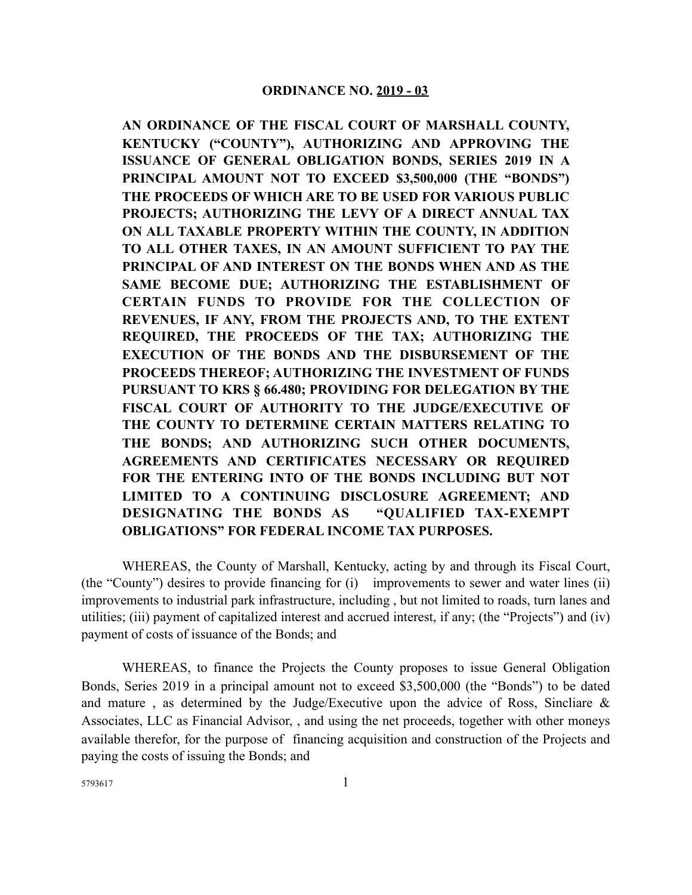**AN ORDINANCE OF THE FISCAL COURT OF MARSHALL COUNTY, KENTUCKY ("COUNTY"), AUTHORIZING AND APPROVING THE ISSUANCE OF GENERAL OBLIGATION BONDS, SERIES 2019 IN A PRINCIPAL AMOUNT NOT TO EXCEED \$3,500,000 (THE "BONDS") THE PROCEEDS OF WHICH ARE TO BE USED FOR VARIOUS PUBLIC PROJECTS; AUTHORIZING THE LEVY OF A DIRECT ANNUAL TAX ON ALL TAXABLE PROPERTY WITHIN THE COUNTY, IN ADDITION TO ALL OTHER TAXES, IN AN AMOUNT SUFFICIENT TO PAY THE PRINCIPAL OF AND INTEREST ON THE BONDS WHEN AND AS THE SAME BECOME DUE; AUTHORIZING THE ESTABLISHMENT OF CERTAIN FUNDS TO PROVIDE FOR THE COLLECTION OF REVENUES, IF ANY, FROM THE PROJECTS AND, TO THE EXTENT REQUIRED, THE PROCEEDS OF THE TAX; AUTHORIZING THE EXECUTION OF THE BONDS AND THE DISBURSEMENT OF THE PROCEEDS THEREOF; AUTHORIZING THE INVESTMENT OF FUNDS PURSUANT TO KRS § 66.480; PROVIDING FOR DELEGATION BY THE FISCAL COURT OF AUTHORITY TO THE JUDGE/EXECUTIVE OF THE COUNTY TO DETERMINE CERTAIN MATTERS RELATING TO THE BONDS; AND AUTHORIZING SUCH OTHER DOCUMENTS, AGREEMENTS AND CERTIFICATES NECESSARY OR REQUIRED FOR THE ENTERING INTO OF THE BONDS INCLUDING BUT NOT LIMITED TO A CONTINUING DISCLOSURE AGREEMENT; AND DESIGNATING THE BONDS AS "QUALIFIED TAX-EXEMPT OBLIGATIONS" FOR FEDERAL INCOME TAX PURPOSES.**

WHEREAS, the County of Marshall, Kentucky, acting by and through its Fiscal Court, (the "County") desires to provide financing for (i) improvements to sewer and water lines (ii) improvements to industrial park infrastructure, including , but not limited to roads, turn lanes and utilities; (iii) payment of capitalized interest and accrued interest, if any; (the "Projects") and (iv) payment of costs of issuance of the Bonds; and

WHEREAS, to finance the Projects the County proposes to issue General Obligation Bonds, Series 2019 in a principal amount not to exceed \$3,500,000 (the "Bonds") to be dated and mature , as determined by the Judge/Executive upon the advice of Ross, Sincliare & Associates, LLC as Financial Advisor, , and using the net proceeds, together with other moneys available therefor, for the purpose of financing acquisition and construction of the Projects and paying the costs of issuing the Bonds; and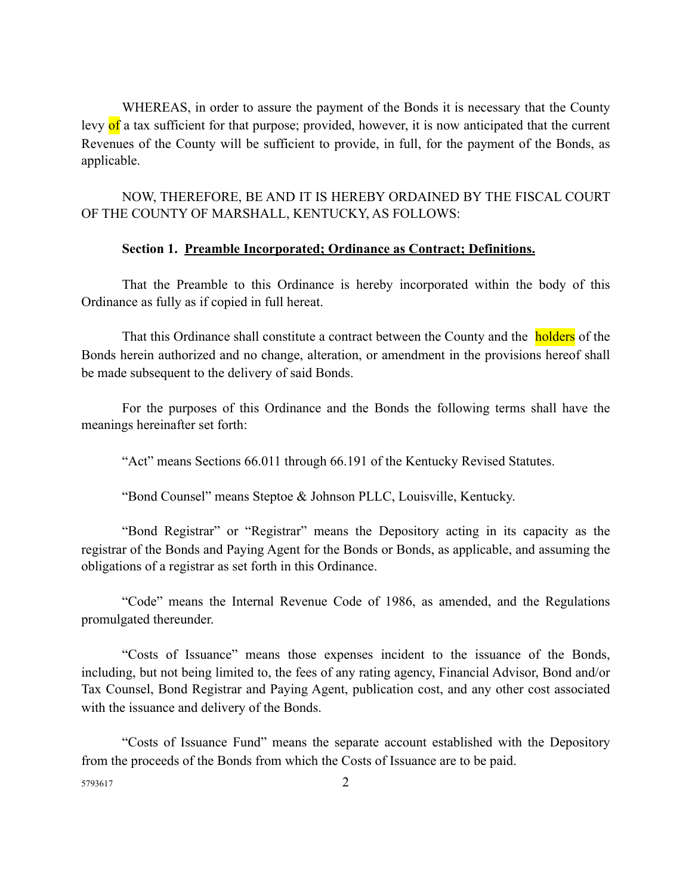WHEREAS, in order to assure the payment of the Bonds it is necessary that the County levy of a tax sufficient for that purpose; provided, however, it is now anticipated that the current Revenues of the County will be sufficient to provide, in full, for the payment of the Bonds, as applicable.

NOW, THEREFORE, BE AND IT IS HEREBY ORDAINED BY THE FISCAL COURT OF THE COUNTY OF MARSHALL, KENTUCKY, AS FOLLOWS:

#### **Section 1. Preamble Incorporated; Ordinance as Contract; Definitions.**

That the Preamble to this Ordinance is hereby incorporated within the body of this Ordinance as fully as if copied in full hereat.

That this Ordinance shall constitute a contract between the County and the **holders** of the Bonds herein authorized and no change, alteration, or amendment in the provisions hereof shall be made subsequent to the delivery of said Bonds.

For the purposes of this Ordinance and the Bonds the following terms shall have the meanings hereinafter set forth:

"Act" means Sections 66.011 through 66.191 of the Kentucky Revised Statutes.

"Bond Counsel" means Steptoe & Johnson PLLC, Louisville, Kentucky.

"Bond Registrar" or "Registrar" means the Depository acting in its capacity as the registrar of the Bonds and Paying Agent for the Bonds or Bonds, as applicable, and assuming the obligations of a registrar as set forth in this Ordinance.

"Code" means the Internal Revenue Code of 1986, as amended, and the Regulations promulgated thereunder.

"Costs of Issuance" means those expenses incident to the issuance of the Bonds, including, but not being limited to, the fees of any rating agency, Financial Advisor, Bond and/or Tax Counsel, Bond Registrar and Paying Agent, publication cost, and any other cost associated with the issuance and delivery of the Bonds.

"Costs of Issuance Fund" means the separate account established with the Depository from the proceeds of the Bonds from which the Costs of Issuance are to be paid.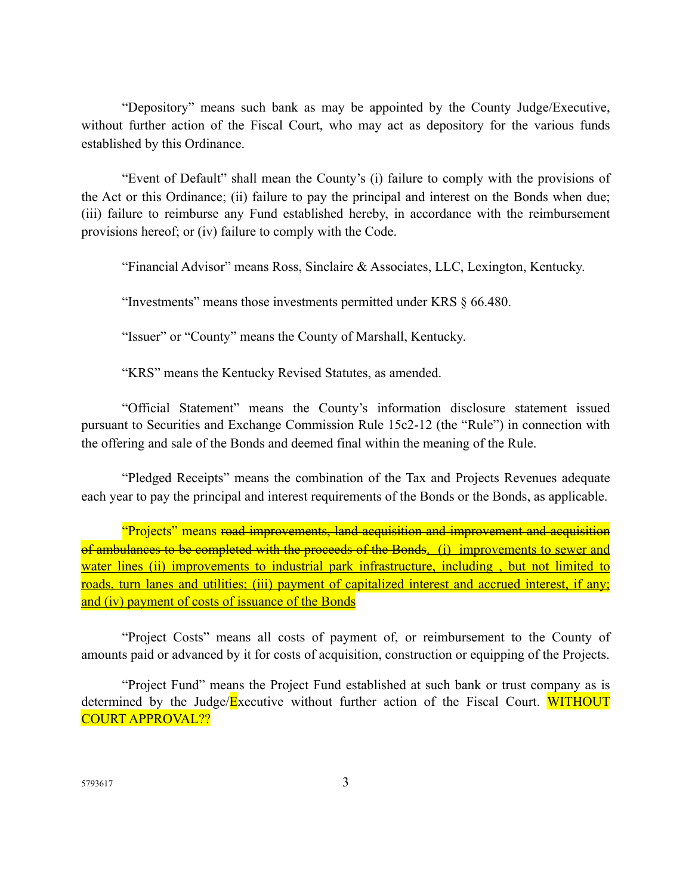"Depository" means such bank as may be appointed by the County Judge/Executive, without further action of the Fiscal Court, who may act as depository for the various funds established by this Ordinance.

"Event of Default" shall mean the County's (i) failure to comply with the provisions of the Act or this Ordinance; (ii) failure to pay the principal and interest on the Bonds when due; (iii) failure to reimburse any Fund established hereby, in accordance with the reimbursement provisions hereof; or (iv) failure to comply with the Code.

"Financial Advisor" means Ross, Sinclaire & Associates, LLC, Lexington, Kentucky.

"Investments" means those investments permitted under KRS § 66.480.

"Issuer" or "County" means the County of Marshall, Kentucky.

"KRS" means the Kentucky Revised Statutes, as amended.

"Official Statement" means the County's information disclosure statement issued pursuant to Securities and Exchange Commission Rule 15c2-12 (the "Rule") in connection with the offering and sale of the Bonds and deemed final within the meaning of the Rule.

"Pledged Receipts" means the combination of the Tax and Projects Revenues adequate each year to pay the principal and interest requirements of the Bonds or the Bonds, as applicable.

"Projects" means road improvements, land acquisition and improvement and acquisition of ambulances to be completed with the proceeds of the Bonds. (i) improvements to sewer and water lines (ii) improvements to industrial park infrastructure, including, but not limited to roads, turn lanes and utilities; (iii) payment of capitalized interest and accrued interest, if any; and (iv) payment of costs of issuance of the Bonds

"Project Costs" means all costs of payment of, or reimbursement to the County of amounts paid or advanced by it for costs of acquisition, construction or equipping of the Projects.

"Project Fund" means the Project Fund established at such bank or trust company as is determined by the Judge/Executive without further action of the Fiscal Court. WITHOUT COURT APPROVAL??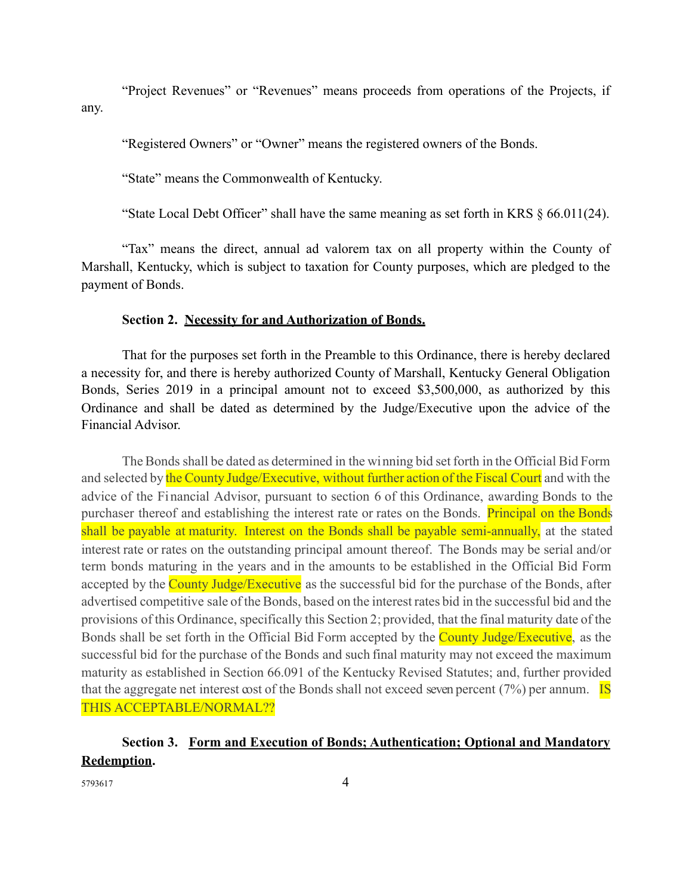"Project Revenues" or "Revenues" means proceeds from operations of the Projects, if any.

"Registered Owners" or "Owner" means the registered owners of the Bonds.

"State" means the Commonwealth of Kentucky.

"State Local Debt Officer" shall have the same meaning as set forth in KRS § 66.011(24).

"Tax" means the direct, annual ad valorem tax on all property within the County of Marshall, Kentucky, which is subject to taxation for County purposes, which are pledged to the payment of Bonds.

#### **Section 2. Necessity for and Authorization of Bonds.**

That for the purposes set forth in the Preamble to this Ordinance, there is hereby declared a necessity for, and there is hereby authorized County of Marshall, Kentucky General Obligation Bonds, Series 2019 in a principal amount not to exceed \$3,500,000, as authorized by this Ordinance and shall be dated as determined by the Judge/Executive upon the advice of the Financial Advisor.

The Bonds shall be dated as determined in the winning bid set forth in the Official Bid Form and selected by the County Judge/Executive, without further action of the Fiscal Court and with the advice of the Financial Advisor, pursuant to section 6 of this Ordinance, awarding Bonds to the purchaser thereof and establishing the interest rate or rates on the Bonds. Principal on the Bonds shall be payable at maturity. Interest on the Bonds shall be payable semi-annually, at the stated interest rate or rates on the outstanding principal amount thereof. The Bonds may be serial and/or term bonds maturing in the years and in the amounts to be established in the Official Bid Form accepted by the County Judge/Executive as the successful bid for the purchase of the Bonds, after advertised competitive sale of the Bonds, based on the interest rates bid in the successful bid and the provisions of this Ordinance, specifically this Section 2; provided, that the final maturity date of the Bonds shall be set forth in the Official Bid Form accepted by the **County Judge/Executive**, as the successful bid for the purchase of the Bonds and such final maturity may not exceed the maximum maturity as established in Section 66.091 of the Kentucky Revised Statutes; and, further provided that the aggregate net interest cost of the Bonds shall not exceed seven percent  $(7%)$  per annum. **IS** THIS ACCEPTABLE/NORMAL??

# **Section 3. Form and Execution of Bonds; Authentication; Optional and Mandatory Redemption.**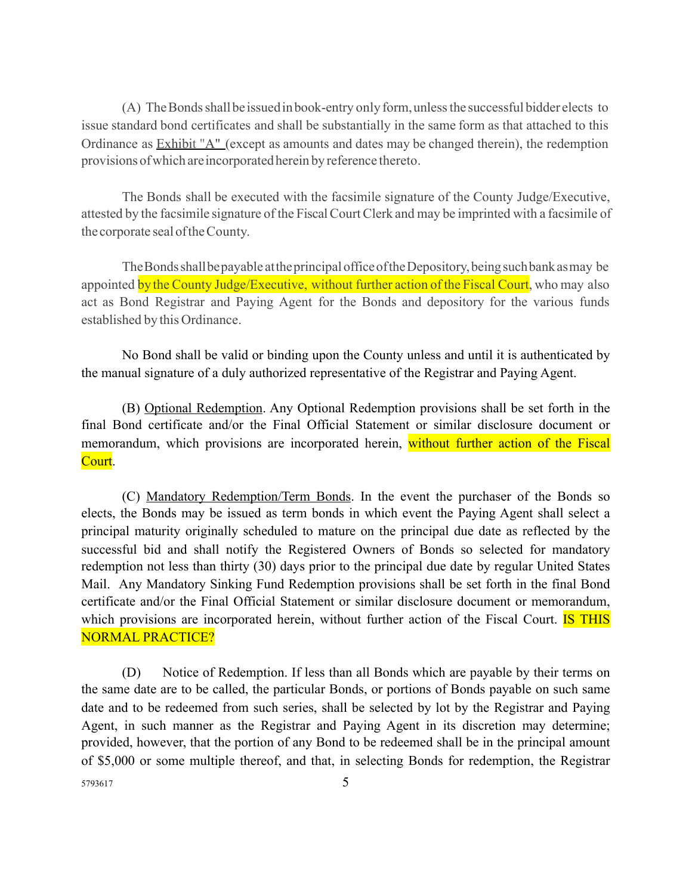(A) The Bonds shall be issued in book-entry only form, unless the successful bidder elects to issue standard bond certificates and shall be substantially in the same form as that attached to this Ordinance as Exhibit "A" (except as amounts and dates may be changed therein), the redemption provisions ofwhich areincorporatedherein by reference thereto.

The Bonds shall be executed with the facsimile signature of the County Judge/Executive, attested by the facsimile signature of the FiscalCourtClerk and may be imprinted with a facsimile of the corporate seal oftheCounty.

TheBondsshallbepayable attheprincipalofficeoftheDepository,beingsuchbankasmay be appointed by the County Judge/Executive, without further action of the Fiscal Court, who may also act as Bond Registrar and Paying Agent for the Bonds and depository for the various funds established by this Ordinance.

No Bond shall be valid or binding upon the County unless and until it is authenticated by the manual signature of a duly authorized representative of the Registrar and Paying Agent.

(B) Optional Redemption. Any Optional Redemption provisions shall be set forth in the final Bond certificate and/or the Final Official Statement or similar disclosure document or memorandum, which provisions are incorporated herein, without further action of the Fiscal Court.

(C) Mandatory Redemption/Term Bonds. In the event the purchaser of the Bonds so elects, the Bonds may be issued as term bonds in which event the Paying Agent shall select a principal maturity originally scheduled to mature on the principal due date as reflected by the successful bid and shall notify the Registered Owners of Bonds so selected for mandatory redemption not less than thirty (30) days prior to the principal due date by regular United States Mail. Any Mandatory Sinking Fund Redemption provisions shall be set forth in the final Bond certificate and/or the Final Official Statement or similar disclosure document or memorandum, which provisions are incorporated herein, without further action of the Fiscal Court. **IS THIS** NORMAL PRACTICE?

(D) Notice of Redemption. If less than all Bonds which are payable by their terms on the same date are to be called, the particular Bonds, or portions of Bonds payable on such same date and to be redeemed from such series, shall be selected by lot by the Registrar and Paying Agent, in such manner as the Registrar and Paying Agent in its discretion may determine; provided, however, that the portion of any Bond to be redeemed shall be in the principal amount of \$5,000 or some multiple thereof, and that, in selecting Bonds for redemption, the Registrar  $5793617$  5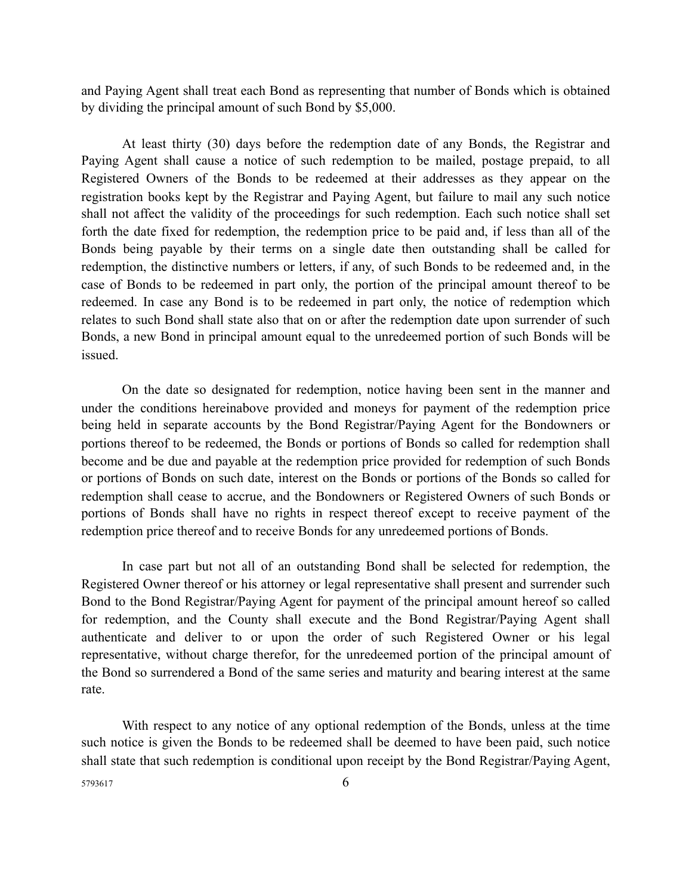and Paying Agent shall treat each Bond as representing that number of Bonds which is obtained by dividing the principal amount of such Bond by \$5,000.

At least thirty (30) days before the redemption date of any Bonds, the Registrar and Paying Agent shall cause a notice of such redemption to be mailed, postage prepaid, to all Registered Owners of the Bonds to be redeemed at their addresses as they appear on the registration books kept by the Registrar and Paying Agent, but failure to mail any such notice shall not affect the validity of the proceedings for such redemption. Each such notice shall set forth the date fixed for redemption, the redemption price to be paid and, if less than all of the Bonds being payable by their terms on a single date then outstanding shall be called for redemption, the distinctive numbers or letters, if any, of such Bonds to be redeemed and, in the case of Bonds to be redeemed in part only, the portion of the principal amount thereof to be redeemed. In case any Bond is to be redeemed in part only, the notice of redemption which relates to such Bond shall state also that on or after the redemption date upon surrender of such Bonds, a new Bond in principal amount equal to the unredeemed portion of such Bonds will be issued.

On the date so designated for redemption, notice having been sent in the manner and under the conditions hereinabove provided and moneys for payment of the redemption price being held in separate accounts by the Bond Registrar/Paying Agent for the Bondowners or portions thereof to be redeemed, the Bonds or portions of Bonds so called for redemption shall become and be due and payable at the redemption price provided for redemption of such Bonds or portions of Bonds on such date, interest on the Bonds or portions of the Bonds so called for redemption shall cease to accrue, and the Bondowners or Registered Owners of such Bonds or portions of Bonds shall have no rights in respect thereof except to receive payment of the redemption price thereof and to receive Bonds for any unredeemed portions of Bonds.

In case part but not all of an outstanding Bond shall be selected for redemption, the Registered Owner thereof or his attorney or legal representative shall present and surrender such Bond to the Bond Registrar/Paying Agent for payment of the principal amount hereof so called for redemption, and the County shall execute and the Bond Registrar/Paying Agent shall authenticate and deliver to or upon the order of such Registered Owner or his legal representative, without charge therefor, for the unredeemed portion of the principal amount of the Bond so surrendered a Bond of the same series and maturity and bearing interest at the same rate.

With respect to any notice of any optional redemption of the Bonds, unless at the time such notice is given the Bonds to be redeemed shall be deemed to have been paid, such notice shall state that such redemption is conditional upon receipt by the Bond Registrar/Paying Agent, 5793617 6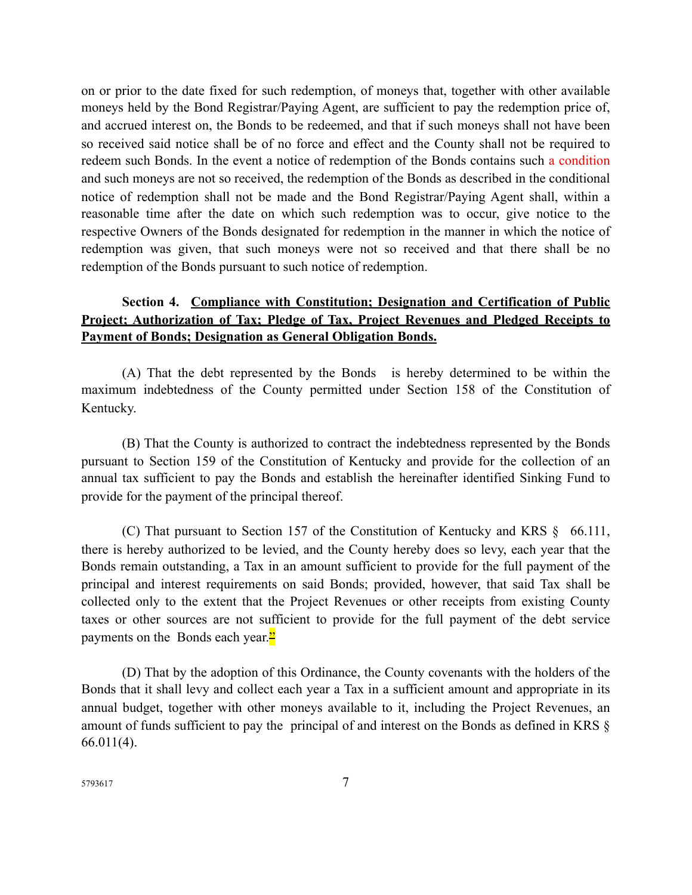on or prior to the date fixed for such redemption, of moneys that, together with other available moneys held by the Bond Registrar/Paying Agent, are sufficient to pay the redemption price of, and accrued interest on, the Bonds to be redeemed, and that if such moneys shall not have been so received said notice shall be of no force and effect and the County shall not be required to redeem such Bonds. In the event a notice of redemption of the Bonds contains such a condition and such moneys are not so received, the redemption of the Bonds as described in the conditional notice of redemption shall not be made and the Bond Registrar/Paying Agent shall, within a reasonable time after the date on which such redemption was to occur, give notice to the respective Owners of the Bonds designated for redemption in the manner in which the notice of redemption was given, that such moneys were not so received and that there shall be no redemption of the Bonds pursuant to such notice of redemption.

## **Section 4. Compliance with Constitution; Designation and Certification of Public Project; Authorization of Tax; Pledge of Tax, Project Revenues and Pledged Receipts to Payment of Bonds; Designation as General Obligation Bonds.**

(A) That the debt represented by the Bonds is hereby determined to be within the maximum indebtedness of the County permitted under Section 158 of the Constitution of Kentucky.

(B) That the County is authorized to contract the indebtedness represented by the Bonds pursuant to Section 159 of the Constitution of Kentucky and provide for the collection of an annual tax sufficient to pay the Bonds and establish the hereinafter identified Sinking Fund to provide for the payment of the principal thereof.

(C) That pursuant to Section 157 of the Constitution of Kentucky and KRS § 66.111, there is hereby authorized to be levied, and the County hereby does so levy, each year that the Bonds remain outstanding, a Tax in an amount sufficient to provide for the full payment of the principal and interest requirements on said Bonds; provided, however, that said Tax shall be collected only to the extent that the Project Revenues or other receipts from existing County taxes or other sources are not sufficient to provide for the full payment of the debt service payments on the Bonds each year. $\frac{2}{3}$ 

(D) That by the adoption of this Ordinance, the County covenants with the holders of the Bonds that it shall levy and collect each year a Tax in a sufficient amount and appropriate in its annual budget, together with other moneys available to it, including the Project Revenues, an amount of funds sufficient to pay the principal of and interest on the Bonds as defined in KRS § 66.011(4).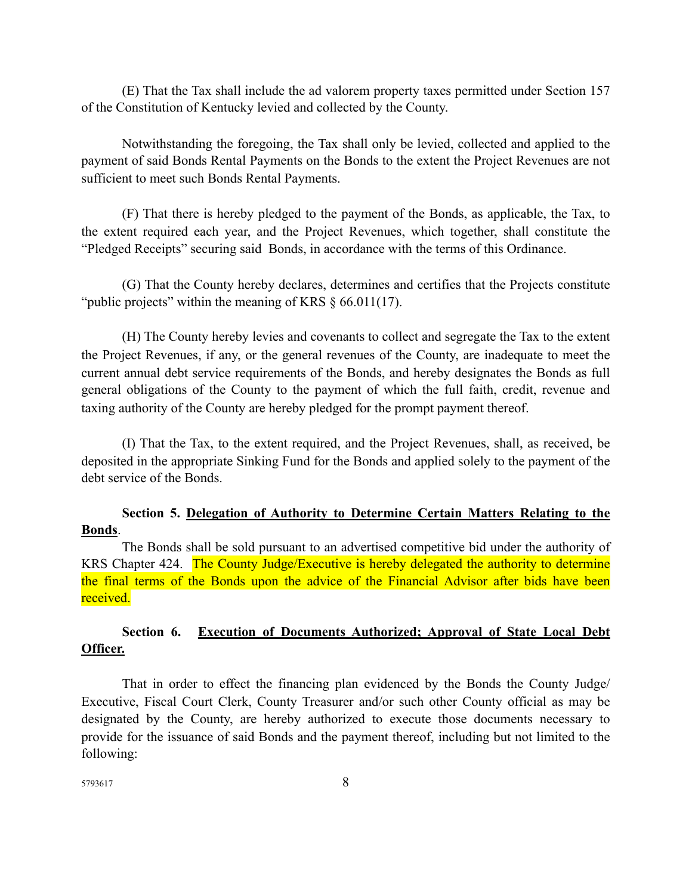(E) That the Tax shall include the ad valorem property taxes permitted under Section 157 of the Constitution of Kentucky levied and collected by the County.

Notwithstanding the foregoing, the Tax shall only be levied, collected and applied to the payment of said Bonds Rental Payments on the Bonds to the extent the Project Revenues are not sufficient to meet such Bonds Rental Payments.

(F) That there is hereby pledged to the payment of the Bonds, as applicable, the Tax, to the extent required each year, and the Project Revenues, which together, shall constitute the "Pledged Receipts" securing said Bonds, in accordance with the terms of this Ordinance.

(G) That the County hereby declares, determines and certifies that the Projects constitute "public projects" within the meaning of KRS § 66.011(17).

(H) The County hereby levies and covenants to collect and segregate the Tax to the extent the Project Revenues, if any, or the general revenues of the County, are inadequate to meet the current annual debt service requirements of the Bonds, and hereby designates the Bonds as full general obligations of the County to the payment of which the full faith, credit, revenue and taxing authority of the County are hereby pledged for the prompt payment thereof.

(I) That the Tax, to the extent required, and the Project Revenues, shall, as received, be deposited in the appropriate Sinking Fund for the Bonds and applied solely to the payment of the debt service of the Bonds.

## **Section 5. Delegation of Authority to Determine Certain Matters Relating to the Bonds**.

 The Bonds shall be sold pursuant to an advertised competitive bid under the authority of KRS Chapter 424. The County Judge/Executive is hereby delegated the authority to determine the final terms of the Bonds upon the advice of the Financial Advisor after bids have been received.

## **Section 6. Execution of Documents Authorized; Approval of State Local Debt Officer.**

That in order to effect the financing plan evidenced by the Bonds the County Judge/ Executive, Fiscal Court Clerk, County Treasurer and/or such other County official as may be designated by the County, are hereby authorized to execute those documents necessary to provide for the issuance of said Bonds and the payment thereof, including but not limited to the following: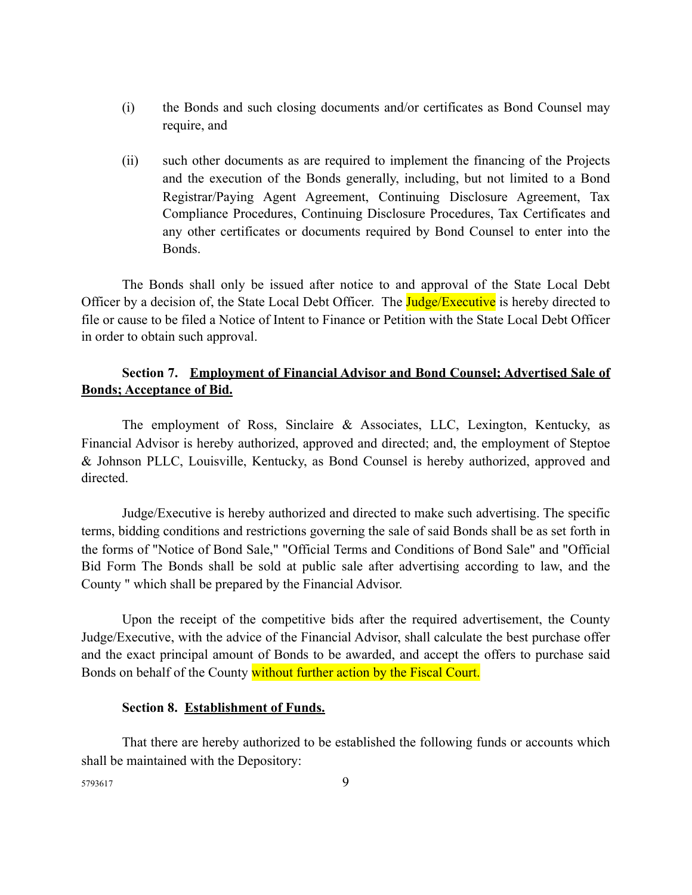- (i) the Bonds and such closing documents and/or certificates as Bond Counsel may require, and
- (ii) such other documents as are required to implement the financing of the Projects and the execution of the Bonds generally, including, but not limited to a Bond Registrar/Paying Agent Agreement, Continuing Disclosure Agreement, Tax Compliance Procedures, Continuing Disclosure Procedures, Tax Certificates and any other certificates or documents required by Bond Counsel to enter into the Bonds.

The Bonds shall only be issued after notice to and approval of the State Local Debt Officer by a decision of, the State Local Debt Officer. The **Judge/Executive** is hereby directed to file or cause to be filed a Notice of Intent to Finance or Petition with the State Local Debt Officer in order to obtain such approval.

## **Section 7. Employment of Financial Advisor and Bond Counsel; Advertised Sale of Bonds; Acceptance of Bid.**

The employment of Ross, Sinclaire & Associates, LLC, Lexington, Kentucky, as Financial Advisor is hereby authorized, approved and directed; and, the employment of Steptoe & Johnson PLLC, Louisville, Kentucky, as Bond Counsel is hereby authorized, approved and directed.

Judge/Executive is hereby authorized and directed to make such advertising. The specific terms, bidding conditions and restrictions governing the sale of said Bonds shall be as set forth in the forms of "Notice of Bond Sale," "Official Terms and Conditions of Bond Sale" and "Official Bid Form The Bonds shall be sold at public sale after advertising according to law, and the County " which shall be prepared by the Financial Advisor.

Upon the receipt of the competitive bids after the required advertisement, the County Judge/Executive, with the advice of the Financial Advisor, shall calculate the best purchase offer and the exact principal amount of Bonds to be awarded, and accept the offers to purchase said Bonds on behalf of the County without further action by the Fiscal Court.

#### **Section 8. Establishment of Funds.**

That there are hereby authorized to be established the following funds or accounts which shall be maintained with the Depository: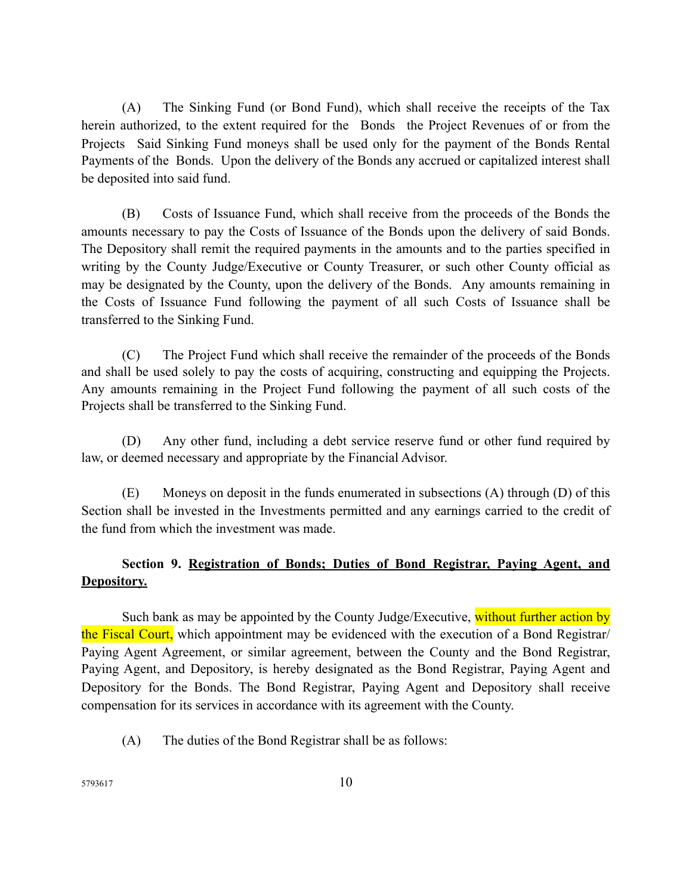(A) The Sinking Fund (or Bond Fund), which shall receive the receipts of the Tax herein authorized, to the extent required for the Bonds the Project Revenues of or from the Projects Said Sinking Fund moneys shall be used only for the payment of the Bonds Rental Payments of the Bonds. Upon the delivery of the Bonds any accrued or capitalized interest shall be deposited into said fund.

(B) Costs of Issuance Fund, which shall receive from the proceeds of the Bonds the amounts necessary to pay the Costs of Issuance of the Bonds upon the delivery of said Bonds. The Depository shall remit the required payments in the amounts and to the parties specified in writing by the County Judge/Executive or County Treasurer, or such other County official as may be designated by the County, upon the delivery of the Bonds. Any amounts remaining in the Costs of Issuance Fund following the payment of all such Costs of Issuance shall be transferred to the Sinking Fund.

(C) The Project Fund which shall receive the remainder of the proceeds of the Bonds and shall be used solely to pay the costs of acquiring, constructing and equipping the Projects. Any amounts remaining in the Project Fund following the payment of all such costs of the Projects shall be transferred to the Sinking Fund.

(D) Any other fund, including a debt service reserve fund or other fund required by law, or deemed necessary and appropriate by the Financial Advisor.

(E) Moneys on deposit in the funds enumerated in subsections (A) through (D) of this Section shall be invested in the Investments permitted and any earnings carried to the credit of the fund from which the investment was made.

## **Section 9. Registration of Bonds; Duties of Bond Registrar, Paying Agent, and Depository.**

Such bank as may be appointed by the County Judge/Executive, without further action by the Fiscal Court, which appointment may be evidenced with the execution of a Bond Registrar/ Paying Agent Agreement, or similar agreement, between the County and the Bond Registrar, Paying Agent, and Depository, is hereby designated as the Bond Registrar, Paying Agent and Depository for the Bonds. The Bond Registrar, Paying Agent and Depository shall receive compensation for its services in accordance with its agreement with the County.

(A) The duties of the Bond Registrar shall be as follows: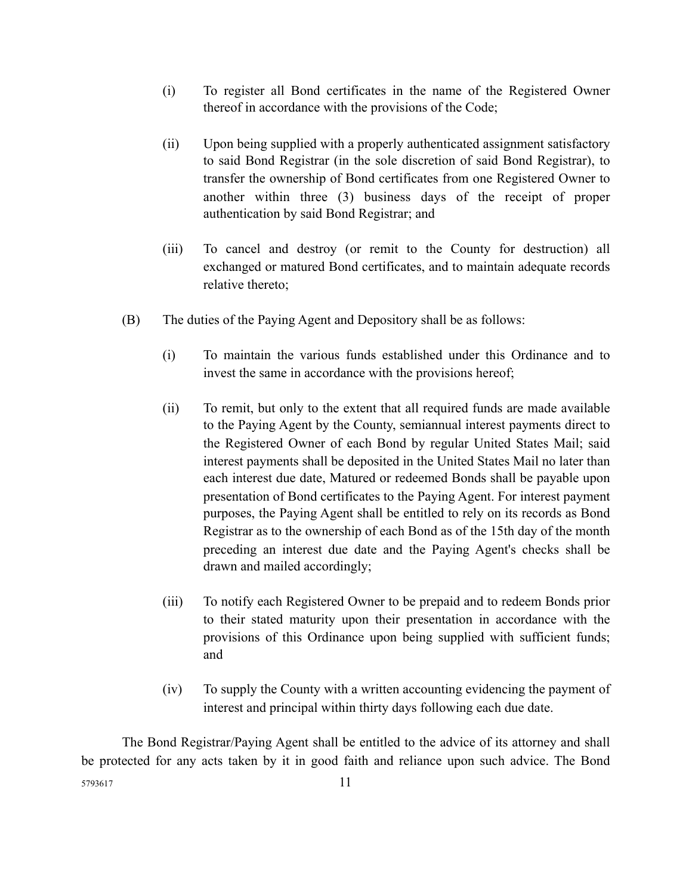- (i) To register all Bond certificates in the name of the Registered Owner thereof in accordance with the provisions of the Code;
- (ii) Upon being supplied with a properly authenticated assignment satisfactory to said Bond Registrar (in the sole discretion of said Bond Registrar), to transfer the ownership of Bond certificates from one Registered Owner to another within three (3) business days of the receipt of proper authentication by said Bond Registrar; and
- (iii) To cancel and destroy (or remit to the County for destruction) all exchanged or matured Bond certificates, and to maintain adequate records relative thereto;
- (B) The duties of the Paying Agent and Depository shall be as follows:
	- (i) To maintain the various funds established under this Ordinance and to invest the same in accordance with the provisions hereof;
	- (ii) To remit, but only to the extent that all required funds are made available to the Paying Agent by the County, semiannual interest payments direct to the Registered Owner of each Bond by regular United States Mail; said interest payments shall be deposited in the United States Mail no later than each interest due date, Matured or redeemed Bonds shall be payable upon presentation of Bond certificates to the Paying Agent. For interest payment purposes, the Paying Agent shall be entitled to rely on its records as Bond Registrar as to the ownership of each Bond as of the 15th day of the month preceding an interest due date and the Paying Agent's checks shall be drawn and mailed accordingly;
	- (iii) To notify each Registered Owner to be prepaid and to redeem Bonds prior to their stated maturity upon their presentation in accordance with the provisions of this Ordinance upon being supplied with sufficient funds; and
	- (iv) To supply the County with a written accounting evidencing the payment of interest and principal within thirty days following each due date.

The Bond Registrar/Paying Agent shall be entitled to the advice of its attorney and shall be protected for any acts taken by it in good faith and reliance upon such advice. The Bond <sup>5793617</sup> 11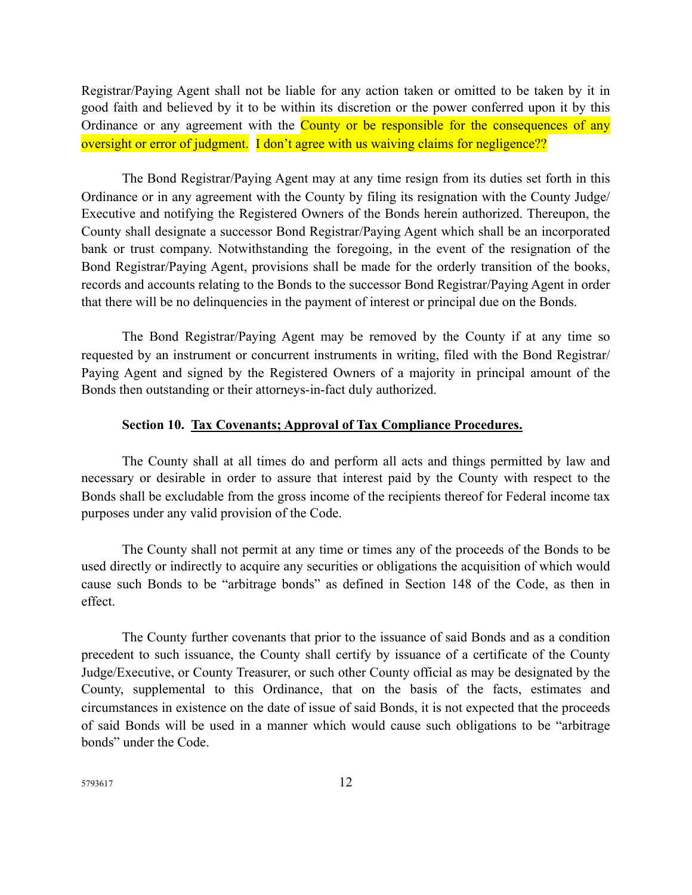Registrar/Paying Agent shall not be liable for any action taken or omitted to be taken by it in good faith and believed by it to be within its discretion or the power conferred upon it by this Ordinance or any agreement with the **County or be responsible for the consequences of any** oversight or error of judgment. I don't agree with us waiving claims for negligence??

The Bond Registrar/Paying Agent may at any time resign from its duties set forth in this Ordinance or in any agreement with the County by filing its resignation with the County Judge/ Executive and notifying the Registered Owners of the Bonds herein authorized. Thereupon, the County shall designate a successor Bond Registrar/Paying Agent which shall be an incorporated bank or trust company. Notwithstanding the foregoing, in the event of the resignation of the Bond Registrar/Paying Agent, provisions shall be made for the orderly transition of the books, records and accounts relating to the Bonds to the successor Bond Registrar/Paying Agent in order that there will be no delinquencies in the payment of interest or principal due on the Bonds.

The Bond Registrar/Paying Agent may be removed by the County if at any time so requested by an instrument or concurrent instruments in writing, filed with the Bond Registrar/ Paying Agent and signed by the Registered Owners of a majority in principal amount of the Bonds then outstanding or their attorneys-in-fact duly authorized.

#### **Section 10. Tax Covenants; Approval of Tax Compliance Procedures.**

The County shall at all times do and perform all acts and things permitted by law and necessary or desirable in order to assure that interest paid by the County with respect to the Bonds shall be excludable from the gross income of the recipients thereof for Federal income tax purposes under any valid provision of the Code.

The County shall not permit at any time or times any of the proceeds of the Bonds to be used directly or indirectly to acquire any securities or obligations the acquisition of which would cause such Bonds to be "arbitrage bonds" as defined in Section 148 of the Code, as then in effect.

The County further covenants that prior to the issuance of said Bonds and as a condition precedent to such issuance, the County shall certify by issuance of a certificate of the County Judge/Executive, or County Treasurer, or such other County official as may be designated by the County, supplemental to this Ordinance, that on the basis of the facts, estimates and circumstances in existence on the date of issue of said Bonds, it is not expected that the proceeds of said Bonds will be used in a manner which would cause such obligations to be "arbitrage bonds" under the Code.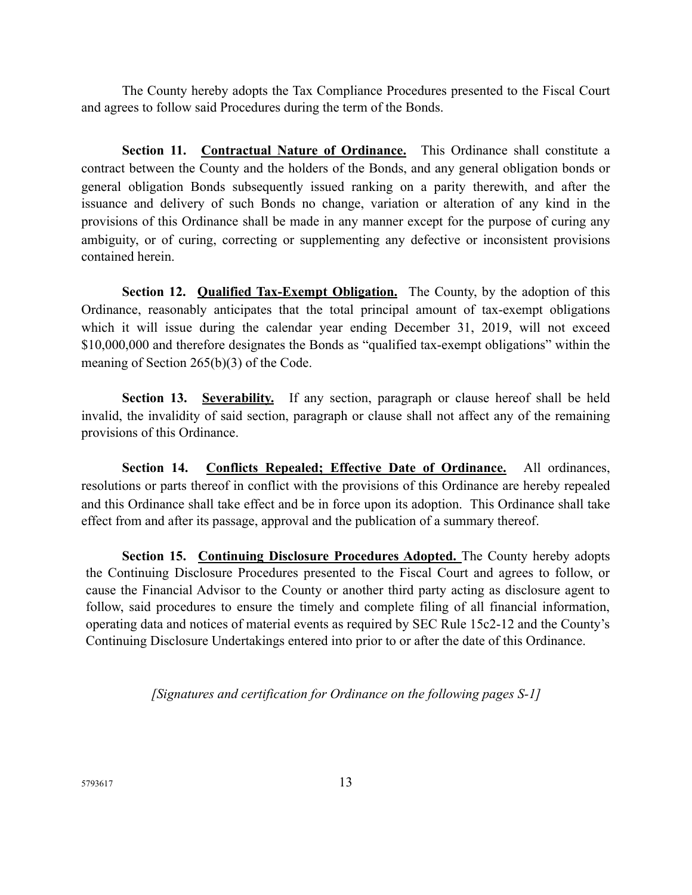The County hereby adopts the Tax Compliance Procedures presented to the Fiscal Court and agrees to follow said Procedures during the term of the Bonds.

**Section 11. Contractual Nature of Ordinance.** This Ordinance shall constitute a contract between the County and the holders of the Bonds, and any general obligation bonds or general obligation Bonds subsequently issued ranking on a parity therewith, and after the issuance and delivery of such Bonds no change, variation or alteration of any kind in the provisions of this Ordinance shall be made in any manner except for the purpose of curing any ambiguity, or of curing, correcting or supplementing any defective or inconsistent provisions contained herein.

**Section 12. Qualified Tax-Exempt Obligation.** The County, by the adoption of this Ordinance, reasonably anticipates that the total principal amount of tax-exempt obligations which it will issue during the calendar year ending December 31, 2019, will not exceed \$10,000,000 and therefore designates the Bonds as "qualified tax-exempt obligations" within the meaning of Section 265(b)(3) of the Code.

**Section 13. Severability.** If any section, paragraph or clause hereof shall be held invalid, the invalidity of said section, paragraph or clause shall not affect any of the remaining provisions of this Ordinance.

**Section 14. Conflicts Repealed; Effective Date of Ordinance.** All ordinances, resolutions or parts thereof in conflict with the provisions of this Ordinance are hereby repealed and this Ordinance shall take effect and be in force upon its adoption. This Ordinance shall take effect from and after its passage, approval and the publication of a summary thereof.

**Section 15. Continuing Disclosure Procedures Adopted.** The County hereby adopts the Continuing Disclosure Procedures presented to the Fiscal Court and agrees to follow, or cause the Financial Advisor to the County or another third party acting as disclosure agent to follow, said procedures to ensure the timely and complete filing of all financial information, operating data and notices of material events as required by SEC Rule 15c2-12 and the County's Continuing Disclosure Undertakings entered into prior to or after the date of this Ordinance.

*[Signatures and certification for Ordinance on the following pages S-1]*